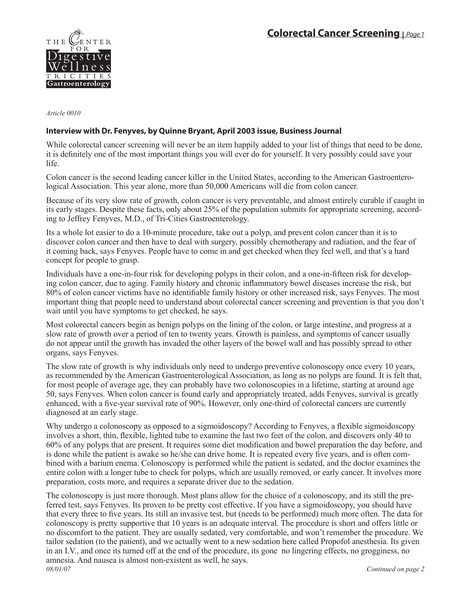

*Article 0010* 

## **Interview with Dr. Fenyves, by Quinne Bryant, April 2003 issue, Business Journal**

While colorectal cancer screening will never be an item happily added to your list of things that need to be done, it is definitely one of the most important things you will ever do for yourself. It very possibly could save your life.

Colon cancer is the second leading cancer killer in the United States, according to the American Gastroenterological Association. This year alone, more than 50,000 Americans will die from colon cancer.

Because of its very slow rate of growth, colon cancer is very preventable, and almost entirely curable if caught in its early stages. Despite these facts, only about 25% of the population submits for appropriate screening, according to Jeffrey Fenyves, M.D., of Tri-Cities Gastroenterology.

Its a whole lot easier to do a 10-minute procedure, take out a polyp, and prevent colon cancer than it is to discover colon cancer and then have to deal with surgery, possibly chemotherapy and radiation, and the fear of it coming back, says Fenyves. People have to come in and get checked when they feel well, and that's a hard concept for people to grasp.

Individuals have a one-in-four risk for developing polyps in their colon, and a one-in-fifteen risk for developing colon cancer, due to aging. Family history and chronic inflammatory bowel diseases increase the risk, but 80% of colon cancer victims have no identifiable family history or other increased risk, says Fenyves. The most important thing that people need to understand about colorectal cancer screening and prevention is that you don't wait until you have symptoms to get checked, he says.

Most colorectal cancers begin as benign polyps on the lining of the colon, or large intestine, and progress at a slow rate of growth over a period of ten to twenty years. Growth is painless, and symptoms of cancer usually do not appear until the growth has invaded the other layers of the bowel wall and has possibly spread to other organs, says Fenyves.

The slow rate of growth is why individuals only need to undergo preventive colonoscopy once every 10 years, as recommended by the American Gastroenterological Association, as long as no polyps are found. It is felt that, for most people of average age, they can probably have two colonoscopies in a lifetime, starting at around age 50, says Fenyves. When colon cancer is found early and appropriately treated, adds Fenyves, survival is greatly enhanced, with a five-year survival rate of 90%. However, only one-third of colorectal cancers are currently diagnosed at an early stage.

Why undergo a colonoscopy as opposed to a sigmoidoscopy? According to Fenyves, a flexible sigmoidoscopy involves a short, thin, flexible, lighted tube to examine the last two feet of the colon, and discovers only 40 to 60% of any polyps that are present. It requires some diet modification and bowel preparation the day before, and is done while the patient is awake so he/she can drive home. It is repeated every five years, and is often combined with a barium enema. Colonoscopy is performed while the patient is sedated, and the doctor examines the entire colon with a longer tube to check for polyps, which are usually removed, or early cancer. It involves more preparation, costs more, and requires a separate driver due to the sedation.

*08/01/07 Continued on page 2* The colonoscopy is just more thorough. Most plans allow for the choice of a colonoscopy, and its still the preferred test, says Fenyves. Its proven to be pretty cost effective. If you have a sigmoidoscopy, you should have that every three to five years. Its still an invasive test, but (needs to be performed) much more often. The data for colonoscopy is pretty supportive that 10 years is an adequate interval. The procedure is short and offers little or no discomfort to the patient. They are usually sedated, very comfortable, and won't remember the procedure. We tailor sedation (to the patient), and we actually went to a new sedation here called Propofol anesthesia. Its given in an I.V., and once its turned off at the end of the procedure, its gone no lingering effects, no grogginess, no amnesia. And nausea is almost non-existent as well, he says.